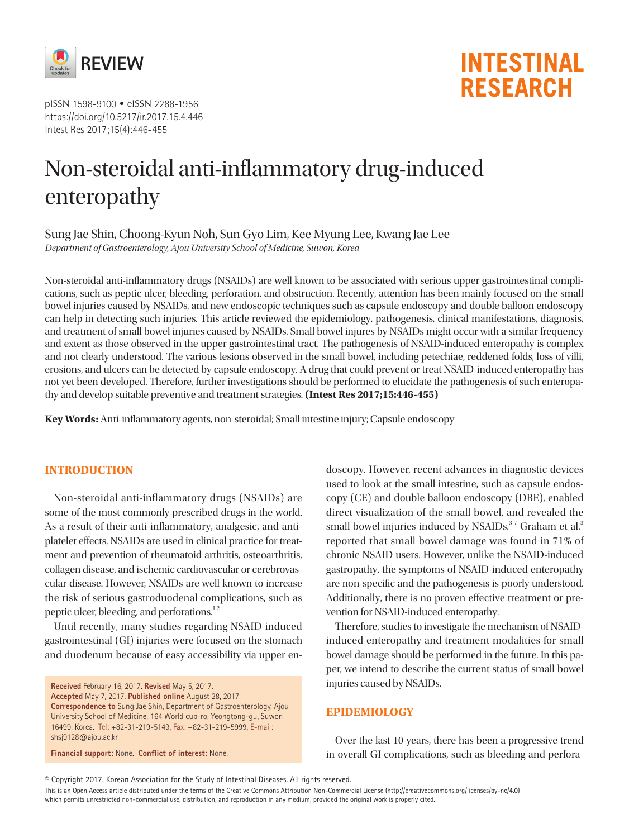

# Non-steroidal anti-inflammatory drug-induced enteropathy

Sung Jae Shin, Choong-Kyun Noh, Sun Gyo Lim, Kee Myung Lee, Kwang Jae Lee *Department of Gastroenterology, Ajou University School of Medicine, Suwon, Korea*

Non-steroidal anti-inflammatory drugs (NSAIDs) are well known to be associated with serious upper gastrointestinal complications, such as peptic ulcer, bleeding, perforation, and obstruction. Recently, attention has been mainly focused on the small bowel injuries caused by NSAIDs, and new endoscopic techniques such as capsule endoscopy and double balloon endoscopy can help in detecting such injuries. This article reviewed the epidemiology, pathogenesis, clinical manifestations, diagnosis, and treatment of small bowel injuries caused by NSAIDs. Small bowel injures by NSAIDs might occur with a similar frequency and extent as those observed in the upper gastrointestinal tract. The pathogenesis of NSAID-induced enteropathy is complex and not clearly understood. The various lesions observed in the small bowel, including petechiae, reddened folds, loss of villi, erosions, and ulcers can be detected by capsule endoscopy. A drug that could prevent or treat NSAID-induced enteropathy has not yet been developed. Therefore, further investigations should be performed to elucidate the pathogenesis of such enteropathy and develop suitable preventive and treatment strategies. **(Intest Res 2017;15:446-455)**

**Key Words:** Anti-inflammatory agents, non-steroidal; Small intestine injury; Capsule endoscopy

#### **INTRODUCTION**

Non-steroidal anti-inflammatory drugs (NSAIDs) are some of the most commonly prescribed drugs in the world. As a result of their anti-inflammatory, analgesic, and antiplatelet effects, NSAIDs are used in clinical practice for treatment and prevention of rheumatoid arthritis, osteoarthritis, collagen disease, and ischemic cardiovascular or cerebrovascular disease. However, NSAIDs are well known to increase the risk of serious gastroduodenal complications, such as peptic ulcer, bleeding, and perforations.<sup>1,2</sup>

Until recently, many studies regarding NSAID-induced gastrointestinal (GI) injuries were focused on the stomach and duodenum because of easy accessibility via upper en-

**Financial support:** None. **Conflict of interest:** None.

doscopy. However, recent advances in diagnostic devices used to look at the small intestine, such as capsule endoscopy (CE) and double balloon endoscopy (DBE), enabled direct visualization of the small bowel, and revealed the small bowel injuries induced by NSAIDs.<sup>3-7</sup> Graham et al.<sup>3</sup> reported that small bowel damage was found in 71% of chronic NSAID users. However, unlike the NSAID-induced gastropathy, the symptoms of NSAID-induced enteropathy are non-specific and the pathogenesis is poorly understood. Additionally, there is no proven effective treatment or prevention for NSAID-induced enteropathy.

Therefore, studies to investigate the mechanism of NSAIDinduced enteropathy and treatment modalities for small bowel damage should be performed in the future. In this paper, we intend to describe the current status of small bowel injuries caused by NSAIDs.

#### **EPIDEMIOLOGY**

Over the last 10 years, there has been a progressive trend in overall GI complications, such as bleeding and perfora-

© Copyright 2017. Korean Association for the Study of Intestinal Diseases. All rights reserved.

**Received** February 16, 2017. **Revised** May 5, 2017. **Accepted** May 7, 2017. **Published online** August 28, 2017 **Correspondence to** Sung Jae Shin, Department of Gastroenterology, Ajou University School of Medicine, 164 World cup-ro, Yeongtong-gu, Suwon 16499, Korea. Tel: +82-31-219-5149, Fax: +82-31-219-5999, E-mail: shsj9128@ajou.ac.kr

This is an Open Access article distributed under the terms of the Creative Commons Attribution Non-Commercial License (http://creativecommons.org/licenses/by-nc/4.0) which permits unrestricted non-commercial use, distribution, and reproduction in any medium, provided the original work is properly cited.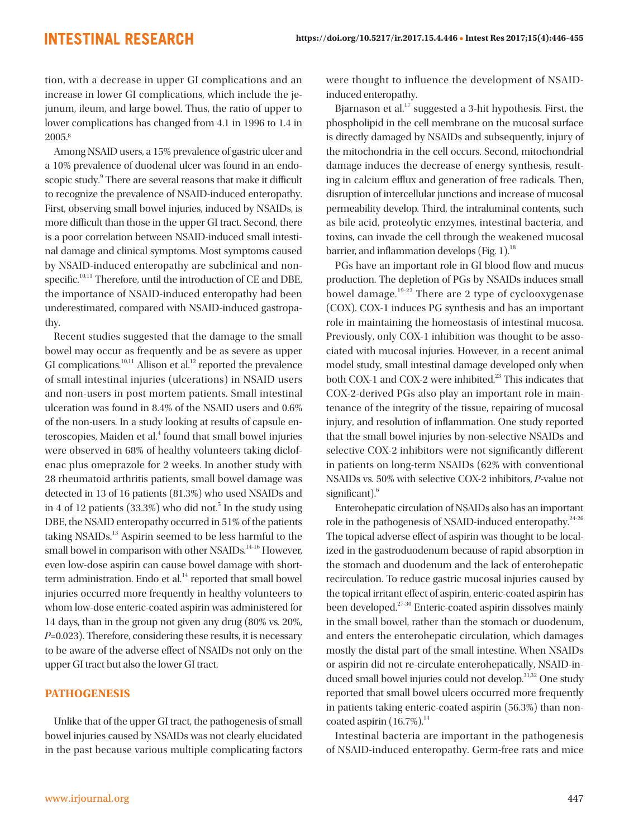tion, with a decrease in upper GI complications and an increase in lower GI complications, which include the jejunum, ileum, and large bowel. Thus, the ratio of upper to lower complications has changed from 4.1 in 1996 to 1.4 in 2005.8

Among NSAID users, a 15% prevalence of gastric ulcer and a 10% prevalence of duodenal ulcer was found in an endoscopic study.<sup>9</sup> There are several reasons that make it difficult to recognize the prevalence of NSAID-induced enteropathy. First, observing small bowel injuries, induced by NSAIDs, is more difficult than those in the upper GI tract. Second, there is a poor correlation between NSAID-induced small intestinal damage and clinical symptoms. Most symptoms caused by NSAID-induced enteropathy are subclinical and nonspecific.<sup>10,11</sup> Therefore, until the introduction of CE and DBE, the importance of NSAID-induced enteropathy had been underestimated, compared with NSAID-induced gastropathy.

Recent studies suggested that the damage to the small bowel may occur as frequently and be as severe as upper GI complications.<sup>10,11</sup> Allison et al.<sup>12</sup> reported the prevalence of small intestinal injuries (ulcerations) in NSAID users and non-users in post mortem patients. Small intestinal ulceration was found in 8.4% of the NSAID users and 0.6% of the non-users. In a study looking at results of capsule enteroscopies, Maiden et al.<sup>4</sup> found that small bowel injuries were observed in 68% of healthy volunteers taking diclofenac plus omeprazole for 2 weeks. In another study with 28 rheumatoid arthritis patients, small bowel damage was detected in 13 of 16 patients (81.3%) who used NSAIDs and in 4 of 12 patients  $(33.3%)$  who did not.<sup>5</sup> In the study using DBE, the NSAID enteropathy occurred in 51% of the patients taking NSAIDs.13 Aspirin seemed to be less harmful to the small bowel in comparison with other NSAIDs.<sup>14-16</sup> However, even low-dose aspirin can cause bowel damage with shortterm administration. Endo et al.<sup>14</sup> reported that small bowel injuries occurred more frequently in healthy volunteers to whom low-dose enteric-coated aspirin was administered for 14 days, than in the group not given any drug (80% vs. 20%,  $P=0.023$ ). Therefore, considering these results, it is necessary to be aware of the adverse effect of NSAIDs not only on the upper GI tract but also the lower GI tract.

#### **PATHOGENESIS**

Unlike that of the upper GI tract, the pathogenesis of small bowel injuries caused by NSAIDs was not clearly elucidated in the past because various multiple complicating factors were thought to influence the development of NSAIDinduced enteropathy.

Bjarnason et al.17 suggested a 3-hit hypothesis. First, the phospholipid in the cell membrane on the mucosal surface is directly damaged by NSAIDs and subsequently, injury of the mitochondria in the cell occurs. Second, mitochondrial damage induces the decrease of energy synthesis, resulting in calcium efflux and generation of free radicals. Then, disruption of intercellular junctions and increase of mucosal permeability develop. Third, the intraluminal contents, such as bile acid, proteolytic enzymes, intestinal bacteria, and toxins, can invade the cell through the weakened mucosal barrier, and inflammation develops (Fig. 1).<sup>18</sup>

PGs have an important role in GI blood flow and mucus production. The depletion of PGs by NSAIDs induces small bowel damage.19-22 There are 2 type of cyclooxygenase (COX). COX-1 induces PG synthesis and has an important role in maintaining the homeostasis of intestinal mucosa. Previously, only COX-1 inhibition was thought to be associated with mucosal injuries. However, in a recent animal model study, small intestinal damage developed only when both COX-1 and COX-2 were inhibited.<sup>23</sup> This indicates that COX-2-derived PGs also play an important role in maintenance of the integrity of the tissue, repairing of mucosal injury, and resolution of inflammation. One study reported that the small bowel injuries by non-selective NSAIDs and selective COX-2 inhibitors were not significantly different in patients on long-term NSAIDs (62% with conventional NSAIDs vs. 50% with selective COX-2 inhibitors, P-value not significant).<sup>6</sup>

Enterohepatic circulation of NSAIDs also has an important role in the pathogenesis of NSAID-induced enteropathy.<sup>24-26</sup> The topical adverse effect of aspirin was thought to be localized in the gastroduodenum because of rapid absorption in the stomach and duodenum and the lack of enterohepatic recirculation. To reduce gastric mucosal injuries caused by the topical irritant effect of aspirin, enteric-coated aspirin has been developed.27-30 Enteric-coated aspirin dissolves mainly in the small bowel, rather than the stomach or duodenum, and enters the enterohepatic circulation, which damages mostly the distal part of the small intestine. When NSAIDs or aspirin did not re-circulate enterohepatically, NSAID-induced small bowel injuries could not develop.<sup>31,32</sup> One study reported that small bowel ulcers occurred more frequently in patients taking enteric-coated aspirin (56.3%) than noncoated aspirin  $(16.7\%)$ .<sup>14</sup>

Intestinal bacteria are important in the pathogenesis of NSAID-induced enteropathy. Germ-free rats and mice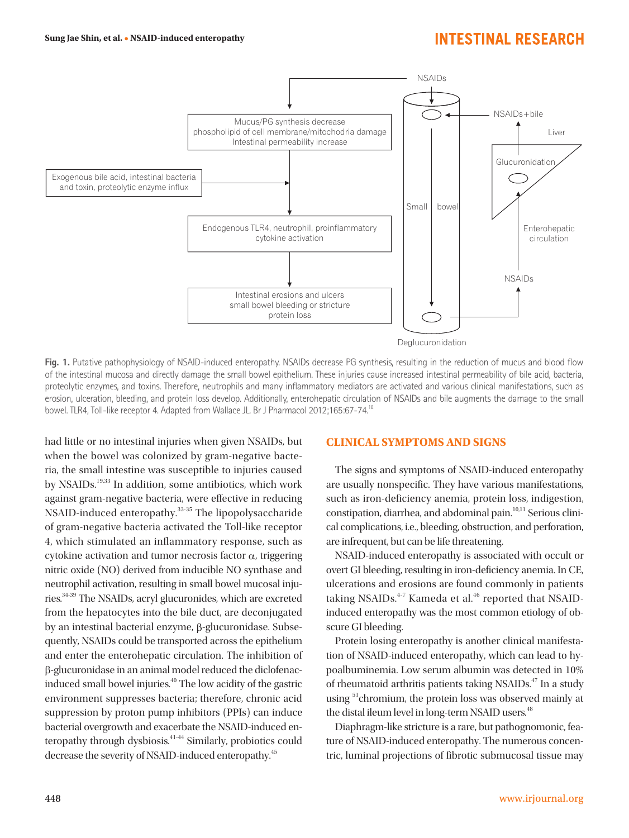

**Fig. 1.** Putative pathophysiology of NSAID-induced enteropathy. NSAIDs decrease PG synthesis, resulting in the reduction of mucus and blood flow of the intestinal mucosa and directly damage the small bowel epithelium. These injuries cause increased intestinal permeability of bile acid, bacteria, proteolytic enzymes, and toxins. Therefore, neutrophils and many inflammatory mediators are activated and various clinical manifestations, such as erosion, ulceration, bleeding, and protein loss develop. Additionally, enterohepatic circulation of NSAIDs and bile augments the damage to the small bowel. TLR4, Toll-like receptor 4. Adapted from Wallace JL. Br J Pharmacol 2012;165:67-74.<sup>18</sup>

had little or no intestinal injuries when given NSAIDs, but when the bowel was colonized by gram-negative bacteria, the small intestine was susceptible to injuries caused by NSAIDs.<sup>19,33</sup> In addition, some antibiotics, which work against gram-negative bacteria, were effective in reducing NSAID-induced enteropathy.<sup>33-35</sup> The lipopolysaccharide of gram-negative bacteria activated the Toll-like receptor 4, which stimulated an inflammatory response, such as cytokine activation and tumor necrosis factor α, triggering nitric oxide (NO) derived from inducible NO synthase and neutrophil activation, resulting in small bowel mucosal injuries.34-39 The NSAIDs, acryl glucuronides, which are excreted from the hepatocytes into the bile duct, are deconjugated by an intestinal bacterial enzyme, β-glucuronidase. Subsequently, NSAIDs could be transported across the epithelium and enter the enterohepatic circulation. The inhibition of β-glucuronidase in an animal model reduced the diclofenacinduced small bowel injuries.<sup>40</sup> The low acidity of the gastric environment suppresses bacteria; therefore, chronic acid suppression by proton pump inhibitors (PPIs) can induce bacterial overgrowth and exacerbate the NSAID-induced enteropathy through dysbiosis.<sup>41-44</sup> Similarly, probiotics could decrease the severity of NSAID-induced enteropathy.<sup>45</sup>

#### **CLINICAL SYMPTOMS AND SIGNS**

The signs and symptoms of NSAID-induced enteropathy are usually nonspecific. They have various manifestations, such as iron-deficiency anemia, protein loss, indigestion, constipation, diarrhea, and abdominal pain.<sup>10,11</sup> Serious clinical complications, i.e., bleeding, obstruction, and perforation, are infrequent, but can be life threatening.

NSAID-induced enteropathy is associated with occult or overt GI bleeding, resulting in iron-deficiency anemia. In CE, ulcerations and erosions are found commonly in patients taking NSAIDs. $4-7$  Kameda et al. $46$  reported that NSAIDinduced enteropathy was the most common etiology of obscure GI bleeding.

Protein losing enteropathy is another clinical manifestation of NSAID-induced enteropathy, which can lead to hypoalbuminemia. Low serum albumin was detected in 10% of rheumatoid arthritis patients taking NSAIDs.<sup>47</sup> In a study using <sup>51</sup>chromium, the protein loss was observed mainly at the distal ileum level in long-term NSAID users.<sup>48</sup>

Diaphragm-like stricture is a rare, but pathognomonic, feature of NSAID-induced enteropathy. The numerous concentric, luminal projections of fibrotic submucosal tissue may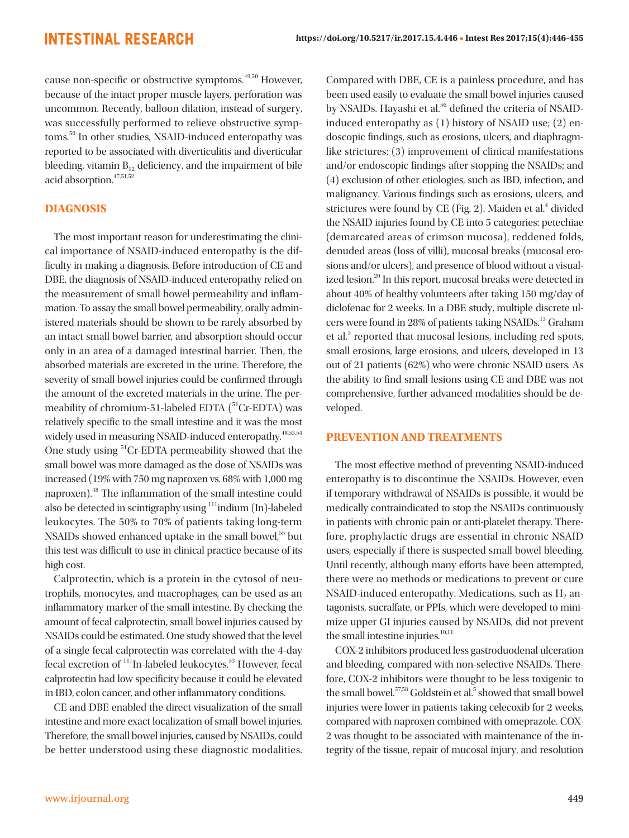cause non-specific or obstructive symptoms.49,50 However, because of the intact proper muscle layers, perforation was uncommon. Recently, balloon dilation, instead of surgery, was successfully performed to relieve obstructive symptoms.<sup>50</sup> In other studies, NSAID-induced enteropathy was reported to be associated with diverticulitis and diverticular bleeding, vitamin  $B_{12}$  deficiency, and the impairment of bile acid absorption.<sup>47,51,52</sup>

#### **DIAGNOSIS**

The most important reason for underestimating the clinical importance of NSAID-induced enteropathy is the difficulty in making a diagnosis. Before introduction of CE and DBE, the diagnosis of NSAID-induced enteropathy relied on the measurement of small bowel permeability and inflammation. To assay the small bowel permeability, orally administered materials should be shown to be rarely absorbed by an intact small bowel barrier, and absorption should occur only in an area of a damaged intestinal barrier. Then, the absorbed materials are excreted in the urine. Therefore, the severity of small bowel injuries could be confirmed through the amount of the excreted materials in the urine. The permeability of chromium-51-labeled EDTA (<sup>51</sup>Cr-EDTA) was relatively specific to the small intestine and it was the most widely used in measuring NSAID-induced enteropathy.<sup>48,53,54</sup> One study using 51Cr-EDTA permeability showed that the small bowel was more damaged as the dose of NSAIDs was increased (19% with 750 mg naproxen vs. 68% with 1,000 mg naproxen).48 The inflammation of the small intestine could also be detected in scintigraphy using <sup>111</sup>indium (In)-labeled leukocytes. The 50% to 70% of patients taking long-term NSAIDs showed enhanced uptake in the small bowel,<sup>55</sup> but this test was difficult to use in clinical practice because of its high cost.

Calprotectin, which is a protein in the cytosol of neutrophils, monocytes, and macrophages, can be used as an inflammatory marker of the small intestine. By checking the amount of fecal calprotectin, small bowel injuries caused by NSAIDs could be estimated. One study showed that the level of a single fecal calprotectin was correlated with the 4-day fecal excretion of <sup>111</sup>In-labeled leukocytes.<sup>53</sup> However, fecal calprotectin had low specificity because it could be elevated in IBD, colon cancer, and other inflammatory conditions.

CE and DBE enabled the direct visualization of the small intestine and more exact localization of small bowel injuries. Therefore, the small bowel injuries, caused by NSAIDs, could be better understood using these diagnostic modalities. Compared with DBE, CE is a painless procedure, and has been used easily to evaluate the small bowel injuries caused by NSAIDs. Hayashi et al.<sup>56</sup> defined the criteria of NSAIDinduced enteropathy as (1) history of NSAID use; (2) endoscopic findings, such as erosions, ulcers, and diaphragmlike strictures; (3) improvement of clinical manifestations and/or endoscopic findings after stopping the NSAIDs; and (4) exclusion of other etiologies, such as IBD, infection, and malignancy. Various findings such as erosions, ulcers, and strictures were found by CE (Fig. 2). Maiden et al.<sup>4</sup> divided the NSAID injuries found by CE into 5 categories: petechiae (demarcated areas of crimson mucosa), reddened folds, denuded areas (loss of villi), mucosal breaks (mucosal erosions and/or ulcers), and presence of blood without a visualized lesion.<sup>20</sup> In this report, mucosal breaks were detected in about 40% of healthy volunteers after taking 150 mg/day of diclofenac for 2 weeks. In a DBE study, multiple discrete ulcers were found in 28% of patients taking NSAIDs.<sup>13</sup> Graham et al.<sup>3</sup> reported that mucosal lesions, including red spots, small erosions, large erosions, and ulcers, developed in 13 out of 21 patients (62%) who were chronic NSAID users. As the ability to find small lesions using CE and DBE was not comprehensive, further advanced modalities should be developed.

#### **PREVENTION AND TREATMENTS**

The most effective method of preventing NSAID-induced enteropathy is to discontinue the NSAIDs. However, even if temporary withdrawal of NSAIDs is possible, it would be medically contraindicated to stop the NSAIDs continuously in patients with chronic pain or anti-platelet therapy. Therefore, prophylactic drugs are essential in chronic NSAID users, especially if there is suspected small bowel bleeding. Until recently, although many efforts have been attempted, there were no methods or medications to prevent or cure NSAID-induced enteropathy. Medications, such as  $H<sub>2</sub>$  antagonists, sucralfate, or PPIs, which were developed to minimize upper GI injuries caused by NSAIDs, did not prevent the small intestine injuries.<sup>10,11</sup>

COX-2 inhibitors produced less gastroduodenal ulceration and bleeding, compared with non-selective NSAIDs. Therefore, COX-2 inhibitors were thought to be less toxigenic to the small bowel.<sup>57,58</sup> Goldstein et al.<sup>5</sup> showed that small bowel injuries were lower in patients taking celecoxib for 2 weeks, compared with naproxen combined with omeprazole. COX-2 was thought to be associated with maintenance of the integrity of the tissue, repair of mucosal injury, and resolution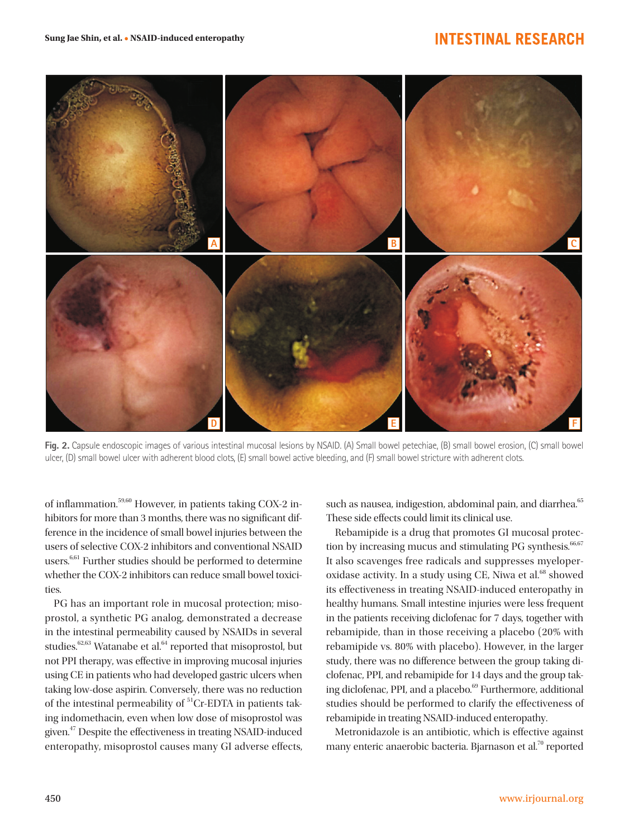

Fig. 2. Capsule endoscopic images of various intestinal mucosal lesions by NSAID. (A) Small bowel petechiae, (B) small bowel erosion, (C) small bowel ulcer, (D) small bowel ulcer with adherent blood clots, (E) small bowel active bleeding, and (F) small bowel stricture with adherent clots.

of inflammation.59,60 However, in patients taking COX-2 inhibitors for more than 3 months, there was no significant difference in the incidence of small bowel injuries between the users of selective COX-2 inhibitors and conventional NSAID users.<sup>6,61</sup> Further studies should be performed to determine whether the COX-2 inhibitors can reduce small bowel toxicities.

PG has an important role in mucosal protection; misoprostol, a synthetic PG analog, demonstrated a decrease in the intestinal permeability caused by NSAIDs in several studies. $62,63$  Watanabe et al. $64$  reported that misoprostol, but not PPI therapy, was effective in improving mucosal injuries using CE in patients who had developed gastric ulcers when taking low-dose aspirin. Conversely, there was no reduction of the intestinal permeability of <sup>51</sup>Cr-EDTA in patients taking indomethacin, even when low dose of misoprostol was given.47 Despite the effectiveness in treating NSAID-induced enteropathy, misoprostol causes many GI adverse effects, such as nausea, indigestion, abdominal pain, and diarrhea.<sup>65</sup> These side effects could limit its clinical use.

Rebamipide is a drug that promotes GI mucosal protection by increasing mucus and stimulating PG synthesis. $66,67$ It also scavenges free radicals and suppresses myeloperoxidase activity. In a study using CE, Niwa et al.<sup>68</sup> showed its effectiveness in treating NSAID-induced enteropathy in healthy humans. Small intestine injuries were less frequent in the patients receiving diclofenac for 7 days, together with rebamipide, than in those receiving a placebo (20% with rebamipide vs. 80% with placebo). However, in the larger study, there was no difference between the group taking diclofenac, PPI, and rebamipide for 14 days and the group taking diclofenac, PPI, and a placebo.<sup>69</sup> Furthermore, additional studies should be performed to clarify the effectiveness of rebamipide in treating NSAID-induced enteropathy.

Metronidazole is an antibiotic, which is effective against many enteric anaerobic bacteria. Bjarnason et al.<sup>70</sup> reported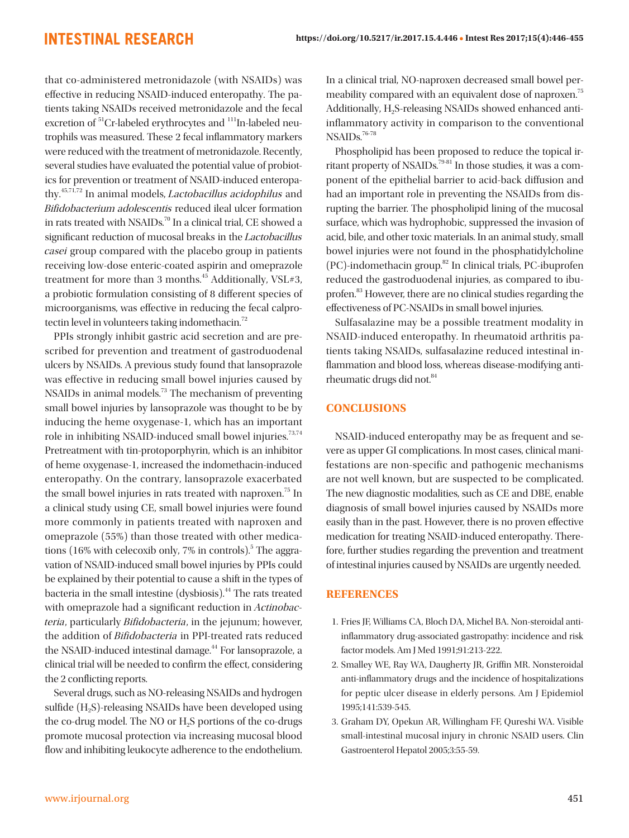that co-administered metronidazole (with NSAIDs) was effective in reducing NSAID-induced enteropathy. The patients taking NSAIDs received metronidazole and the fecal excretion of <sup>51</sup>Cr-labeled erythrocytes and <sup>111</sup>In-labeled neutrophils was measured. These 2 fecal inflammatory markers were reduced with the treatment of metronidazole. Recently, several studies have evaluated the potential value of probiotics for prevention or treatment of NSAID-induced enteropathy.<sup>45,71,72</sup> In animal models, *Lactobacillus acidophilus* and Bifidobacterium adolescentis reduced ileal ulcer formation in rats treated with NSAIDs.<sup>70</sup> In a clinical trial, CE showed a significant reduction of mucosal breaks in the Lactobacillus casei group compared with the placebo group in patients receiving low-dose enteric-coated aspirin and omeprazole treatment for more than 3 months.<sup>45</sup> Additionally, VSL#3, a probiotic formulation consisting of 8 different species of microorganisms, was effective in reducing the fecal calprotectin level in volunteers taking indomethacin.<sup>72</sup>

PPIs strongly inhibit gastric acid secretion and are prescribed for prevention and treatment of gastroduodenal ulcers by NSAIDs. A previous study found that lansoprazole was effective in reducing small bowel injuries caused by NSAIDs in animal models.<sup>73</sup> The mechanism of preventing small bowel injuries by lansoprazole was thought to be by inducing the heme oxygenase-1, which has an important role in inhibiting NSAID-induced small bowel injuries.<sup>73,74</sup> Pretreatment with tin-protoporphyrin, which is an inhibitor of heme oxygenase-1, increased the indomethacin-induced enteropathy. On the contrary, lansoprazole exacerbated the small bowel injuries in rats treated with naproxen.<sup>75</sup> In a clinical study using CE, small bowel injuries were found more commonly in patients treated with naproxen and omeprazole (55%) than those treated with other medications (16% with celecoxib only, 7% in controls).<sup>5</sup> The aggravation of NSAID-induced small bowel injuries by PPIs could be explained by their potential to cause a shift in the types of bacteria in the small intestine (dysbiosis).<sup>44</sup> The rats treated with omeprazole had a significant reduction in Actinobacteria, particularly Bifidobacteria, in the jejunum; however, the addition of Bifidobacteria in PPI-treated rats reduced the NSAID-induced intestinal damage.<sup>44</sup> For lansoprazole, a clinical trial will be needed to confirm the effect, considering the 2 conflicting reports.

Several drugs, such as NO-releasing NSAIDs and hydrogen sulfide (H<sub>2</sub>S)-releasing NSAIDs have been developed using the co-drug model. The NO or H<sub>2</sub>S portions of the co-drugs promote mucosal protection via increasing mucosal blood flow and inhibiting leukocyte adherence to the endothelium. In a clinical trial, NO-naproxen decreased small bowel permeability compared with an equivalent dose of naproxen.75 Additionally, H<sub>2</sub>S-releasing NSAIDs showed enhanced antiinflammatory activity in comparison to the conventional NSAIDs.<sup>76-78</sup>

Phospholipid has been proposed to reduce the topical irritant property of NSAIDs.79-81 In those studies, it was a component of the epithelial barrier to acid-back diffusion and had an important role in preventing the NSAIDs from disrupting the barrier. The phospholipid lining of the mucosal surface, which was hydrophobic, suppressed the invasion of acid, bile, and other toxic materials. In an animal study, small bowel injuries were not found in the phosphatidylcholine  $(PC)$ -indomethacin group.<sup>82</sup> In clinical trials, PC-ibuprofen reduced the gastroduodenal injuries, as compared to ibuprofen.83 However, there are no clinical studies regarding the effectiveness of PC-NSAIDs in small bowel injuries.

Sulfasalazine may be a possible treatment modality in NSAID-induced enteropathy. In rheumatoid arthritis patients taking NSAIDs, sulfasalazine reduced intestinal inflammation and blood loss, whereas disease-modifying antirheumatic drugs did not.<sup>84</sup>

#### **CONCLUSIONS**

NSAID-induced enteropathy may be as frequent and severe as upper GI complications. In most cases, clinical manifestations are non-specific and pathogenic mechanisms are not well known, but are suspected to be complicated. The new diagnostic modalities, such as CE and DBE, enable diagnosis of small bowel injuries caused by NSAIDs more easily than in the past. However, there is no proven effective medication for treating NSAID-induced enteropathy. Therefore, further studies regarding the prevention and treatment of intestinal injuries caused by NSAIDs are urgently needed.

#### **REFERENCES**

- 1. Fries JF, Williams CA, Bloch DA, Michel BA. Non-steroidal antiinflammatory drug-associated gastropathy: incidence and risk factor models. Am J Med 1991;91:213-222.
- 2. Smalley WE, Ray WA, Daugherty JR, Griffin MR. Nonsteroidal anti-inflammatory drugs and the incidence of hospitalizations for peptic ulcer disease in elderly persons. Am J Epidemiol 1995;141:539-545.
- 3. Graham DY, Opekun AR, Willingham FF, Qureshi WA. Visible small-intestinal mucosal injury in chronic NSAID users. Clin Gastroenterol Hepatol 2005;3:55-59.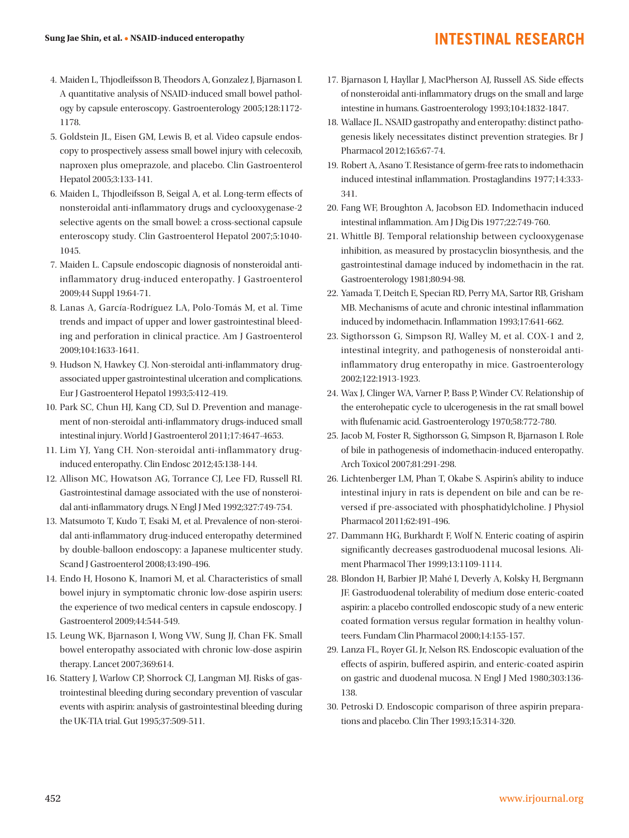- 4. Maiden L, Thjodleifsson B, Theodors A, Gonzalez J, Bjarnason I. A quantitative analysis of NSAID-induced small bowel pathology by capsule enteroscopy. Gastroenterology 2005;128:1172- 1178.
- 5. Goldstein JL, Eisen GM, Lewis B, et al. Video capsule endoscopy to prospectively assess small bowel injury with celecoxib, naproxen plus omeprazole, and placebo. Clin Gastroenterol Hepatol 2005;3:133-141.
- 6. Maiden L, Thjodleifsson B, Seigal A, et al. Long-term effects of nonsteroidal anti-inflammatory drugs and cyclooxygenase-2 selective agents on the small bowel: a cross-sectional capsule enteroscopy study. Clin Gastroenterol Hepatol 2007;5:1040- 1045.
- 7. Maiden L. Capsule endoscopic diagnosis of nonsteroidal antiinflammatory drug-induced enteropathy. J Gastroenterol 2009;44 Suppl 19:64-71.
- 8. Lanas A, García-Rodríguez LA, Polo-Tomás M, et al. Time trends and impact of upper and lower gastrointestinal bleeding and perforation in clinical practice. Am J Gastroenterol 2009;104:1633-1641.
- 9. Hudson N, Hawkey CJ. Non-steroidal anti-inflammatory drugassociated upper gastrointestinal ulceration and complications. Eur J Gastroenterol Hepatol 1993;5:412-419.
- 10. Park SC, Chun HJ, Kang CD, Sul D. Prevention and management of non-steroidal anti-inflammatory drugs-induced small intestinal injury. World J Gastroenterol 2011;17:4647-4653.
- 11. Lim YJ, Yang CH. Non-steroidal anti-inflammatory druginduced enteropathy. Clin Endosc 2012;45:138-144.
- 12. Allison MC, Howatson AG, Torrance CJ, Lee FD, Russell RI. Gastrointestinal damage associated with the use of nonsteroidal anti-inflammatory drugs. N Engl J Med 1992;327:749-754.
- 13. Matsumoto T, Kudo T, Esaki M, et al. Prevalence of non-steroidal anti-inflammatory drug-induced enteropathy determined by double-balloon endoscopy: a Japanese multicenter study. Scand J Gastroenterol 2008;43:490-496.
- 14. Endo H, Hosono K, Inamori M, et al. Characteristics of small bowel injury in symptomatic chronic low-dose aspirin users: the experience of two medical centers in capsule endoscopy. J Gastroenterol 2009;44:544-549.
- 15. Leung WK, Bjarnason I, Wong VW, Sung JJ, Chan FK. Small bowel enteropathy associated with chronic low-dose aspirin therapy. Lancet 2007;369:614.
- 16. Stattery J, Warlow CP, Shorrock CJ, Langman MJ. Risks of gastrointestinal bleeding during secondary prevention of vascular events with aspirin: analysis of gastrointestinal bleeding during the UK-TIA trial. Gut 1995;37:509-511.
- 17. Bjarnason I, Hayllar J, MacPherson AJ, Russell AS. Side effects of nonsteroidal anti-inflammatory drugs on the small and large intestine in humans. Gastroenterology 1993;104:1832-1847.
- 18. Wallace JL. NSAID gastropathy and enteropathy: distinct pathogenesis likely necessitates distinct prevention strategies. Br J Pharmacol 2012;165:67-74.
- 19. Robert A, Asano T. Resistance of germ-free rats to indomethacin induced intestinal inflammation. Prostaglandins 1977;14:333- 341.
- 20. Fang WF, Broughton A, Jacobson ED. Indomethacin induced intestinal inflammation. Am J Dig Dis 1977;22:749-760.
- 21. Whittle BJ. Temporal relationship between cyclooxygenase inhibition, as measured by prostacyclin biosynthesis, and the gastrointestinal damage induced by indomethacin in the rat. Gastroenterology 1981;80:94-98.
- 22. Yamada T, Deitch E, Specian RD, Perry MA, Sartor RB, Grisham MB. Mechanisms of acute and chronic intestinal inflammation induced by indomethacin. Inflammation 1993;17:641-662.
- 23. Sigthorsson G, Simpson RJ, Walley M, et al. COX-1 and 2, intestinal integrity, and pathogenesis of nonsteroidal antiinflammatory drug enteropathy in mice. Gastroenterology 2002;122:1913-1923.
- 24. Wax J, Clinger WA, Varner P, Bass P, Winder CV. Relationship of the enterohepatic cycle to ulcerogenesis in the rat small bowel with flufenamic acid. Gastroenterology 1970;58:772-780.
- 25. Jacob M, Foster R, Sigthorsson G, Simpson R, Bjarnason I. Role of bile in pathogenesis of indomethacin-induced enteropathy. Arch Toxicol 2007;81:291-298.
- 26. Lichtenberger LM, Phan T, Okabe S. Aspirin's ability to induce intestinal injury in rats is dependent on bile and can be reversed if pre-associated with phosphatidylcholine. J Physiol Pharmacol 2011;62:491-496.
- 27. Dammann HG, Burkhardt F, Wolf N. Enteric coating of aspirin significantly decreases gastroduodenal mucosal lesions. Aliment Pharmacol Ther 1999;13:1109-1114.
- 28. Blondon H, Barbier JP, Mahé I, Deverly A, Kolsky H, Bergmann JF. Gastroduodenal tolerability of medium dose enteric-coated aspirin: a placebo controlled endoscopic study of a new enteric coated formation versus regular formation in healthy volunteers. Fundam Clin Pharmacol 2000;14:155-157.
- 29. Lanza FL, Royer GL Jr, Nelson RS. Endoscopic evaluation of the effects of aspirin, buffered aspirin, and enteric-coated aspirin on gastric and duodenal mucosa. N Engl J Med 1980;303:136- 138.
- 30. Petroski D. Endoscopic comparison of three aspirin preparations and placebo. Clin Ther 1993;15:314-320.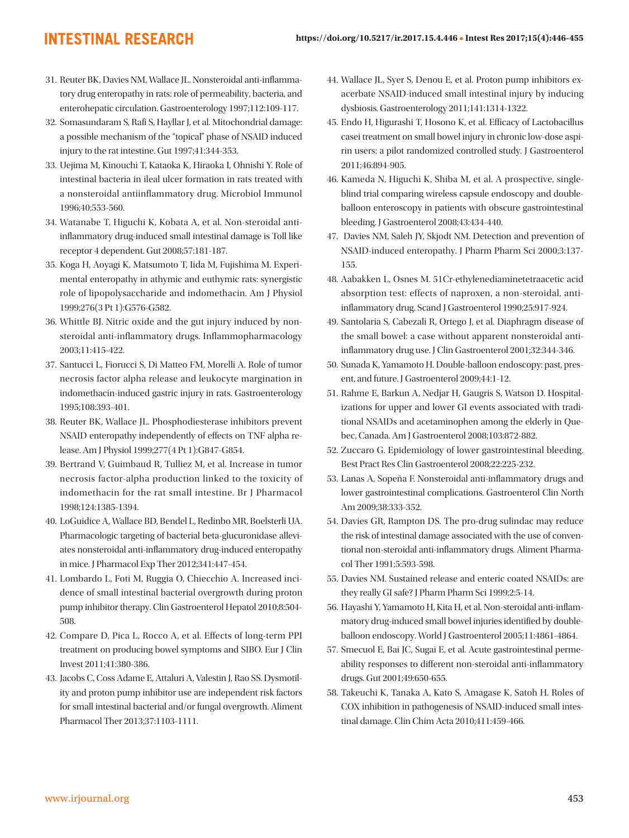- 31. Reuter BK, Davies NM, Wallace JL. Nonsteroidal anti-inflammatory drug enteropathy in rats: role of permeability, bacteria, and enterohepatic circulation. Gastroenterology 1997;112:109-117.
- 32. Somasundaram S, Rafi S, Hayllar J, et al. Mitochondrial damage: a possible mechanism of the "topical" phase of NSAID induced injury to the rat intestine. Gut 1997;41:344-353.
- 33. Uejima M, Kinouchi T, Kataoka K, Hiraoka I, Ohnishi Y. Role of intestinal bacteria in ileal ulcer formation in rats treated with a nonsteroidal antiinflammatory drug. Microbiol Immunol 1996;40:553-560.
- 34. Watanabe T, Higuchi K, Kobata A, et al. Non-steroidal antiinflammatory drug-induced small intestinal damage is Toll like receptor 4 dependent. Gut 2008;57:181-187.
- 35. Koga H, Aoyagi K, Matsumoto T, Iida M, Fujishima M. Experimental enteropathy in athymic and euthymic rats: synergistic role of lipopolysaccharide and indomethacin. Am J Physiol 1999;276(3 Pt 1):G576-G582.
- 36. Whittle BJ. Nitric oxide and the gut injury induced by nonsteroidal anti-inflammatory drugs. Inflammopharmacology 2003;11:415-422.
- 37. Santucci L, Fiorucci S, Di Matteo FM, Morelli A. Role of tumor necrosis factor alpha release and leukocyte margination in indomethacin-induced gastric injury in rats. Gastroenterology 1995;108:393-401.
- 38. Reuter BK, Wallace JL. Phosphodiesterase inhibitors prevent NSAID enteropathy independently of effects on TNF alpha release. Am J Physiol 1999;277(4 Pt 1):G847-G854.
- 39. Bertrand V, Guimbaud R, Tulliez M, et al. Increase in tumor necrosis factor-alpha production linked to the toxicity of indomethacin for the rat small intestine. Br J Pharmacol 1998;124:1385-1394.
- 40. LoGuidice A, Wallace BD, Bendel L, Redinbo MR, Boelsterli UA. Pharmacologic targeting of bacterial beta-glucuronidase alleviates nonsteroidal anti-inflammatory drug-induced enteropathy in mice. J Pharmacol Exp Ther 2012;341:447-454.
- 41. Lombardo L, Foti M, Ruggia O, Chiecchio A. Increased incidence of small intestinal bacterial overgrowth during proton pump inhibitor therapy. Clin Gastroenterol Hepatol 2010;8:504- 508.
- 42. Compare D, Pica L, Rocco A, et al. Effects of long-term PPI treatment on producing bowel symptoms and SIBO. Eur J Clin Invest 2011;41:380-386.
- 43. Jacobs C, Coss Adame E, Attaluri A, Valestin J, Rao SS. Dysmotility and proton pump inhibitor use are independent risk factors for small intestinal bacterial and/or fungal overgrowth. Aliment Pharmacol Ther 2013;37:1103-1111.
- 44. Wallace JL, Syer S, Denou E, et al. Proton pump inhibitors exacerbate NSAID-induced small intestinal injury by inducing dysbiosis. Gastroenterology 2011;141:1314-1322.
- 45. Endo H, Higurashi T, Hosono K, et al. Efficacy of Lactobacillus casei treatment on small bowel injury in chronic low-dose aspirin users: a pilot randomized controlled study. J Gastroenterol 2011;46:894-905.
- 46. Kameda N, Higuchi K, Shiba M, et al. A prospective, singleblind trial comparing wireless capsule endoscopy and doubleballoon enteroscopy in patients with obscure gastrointestinal bleeding. J Gastroenterol 2008;43:434-440.
- 47. Davies NM, Saleh JY, Skjodt NM. Detection and prevention of NSAID-induced enteropathy. J Pharm Pharm Sci 2000;3:137- 155.
- 48. Aabakken L, Osnes M. 51Cr-ethylenediaminetetraacetic acid absorption test: effects of naproxen, a non-steroidal, antiinflammatory drug. Scand J Gastroenterol 1990;25:917-924.
- 49. Santolaria S, Cabezali R, Ortego J, et al. Diaphragm disease of the small bowel: a case without apparent nonsteroidal antiinflammatory drug use. J Clin Gastroenterol 2001;32:344-346.
- 50. Sunada K, Yamamoto H. Double-balloon endoscopy: past, present, and future. J Gastroenterol 2009;44:1-12.
- 51. Rahme E, Barkun A, Nedjar H, Gaugris S, Watson D. Hospitalizations for upper and lower GI events associated with traditional NSAIDs and acetaminophen among the elderly in Quebec, Canada. Am J Gastroenterol 2008;103:872-882.
- 52. Zuccaro G. Epidemiology of lower gastrointestinal bleeding. Best Pract Res Clin Gastroenterol 2008;22:225-232.
- 53. Lanas A, Sopeña F. Nonsteroidal anti-inflammatory drugs and lower gastrointestinal complications. Gastroenterol Clin North Am 2009;38:333-352.
- 54. Davies GR, Rampton DS. The pro-drug sulindac may reduce the risk of intestinal damage associated with the use of conventional non-steroidal anti-inflammatory drugs. Aliment Pharmacol Ther 1991;5:593-598.
- 55. Davies NM. Sustained release and enteric coated NSAIDs: are they really GI safe? J Pharm Pharm Sci 1999;2:5-14.
- 56. Hayashi Y, Yamamoto H, Kita H, et al. Non-steroidal anti-inflammatory drug-induced small bowel injuries identified by doubleballoon endoscopy. World J Gastroenterol 2005;11:4861-4864.
- 57. Smecuol E, Bai JC, Sugai E, et al. Acute gastrointestinal permeability responses to different non-steroidal anti-inflammatory drugs. Gut 2001;49:650-655.
- 58. Takeuchi K, Tanaka A, Kato S, Amagase K, Satoh H. Roles of COX inhibition in pathogenesis of NSAID-induced small intestinal damage. Clin Chim Acta 2010;411:459-466.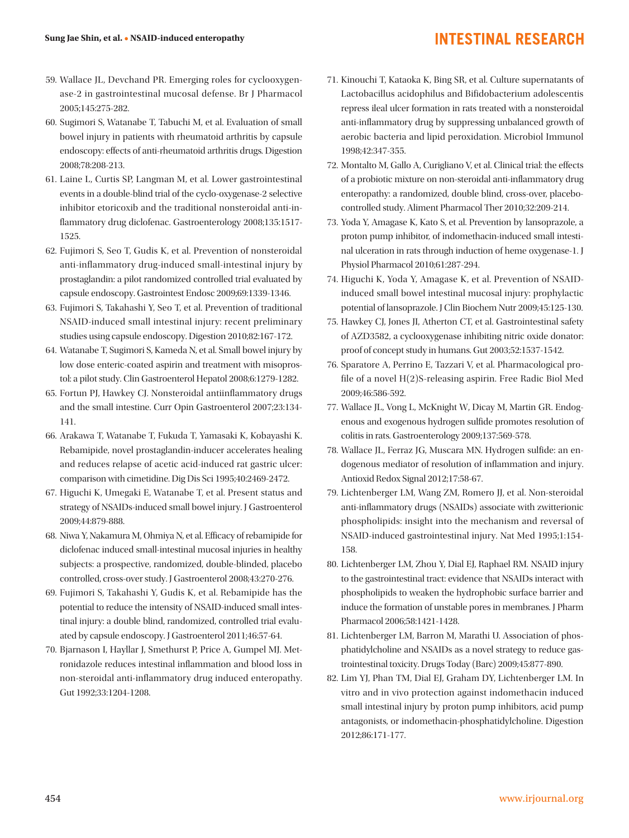- 59. Wallace JL, Devchand PR. Emerging roles for cyclooxygenase-2 in gastrointestinal mucosal defense. Br J Pharmacol 2005;145:275-282.
- 60. Sugimori S, Watanabe T, Tabuchi M, et al. Evaluation of small bowel injury in patients with rheumatoid arthritis by capsule endoscopy: effects of anti-rheumatoid arthritis drugs. Digestion 2008;78:208-213.
- 61. Laine L, Curtis SP, Langman M, et al. Lower gastrointestinal events in a double-blind trial of the cyclo-oxygenase-2 selective inhibitor etoricoxib and the traditional nonsteroidal anti-inflammatory drug diclofenac. Gastroenterology 2008;135:1517- 1525.
- 62. Fujimori S, Seo T, Gudis K, et al. Prevention of nonsteroidal anti-inflammatory drug-induced small-intestinal injury by prostaglandin: a pilot randomized controlled trial evaluated by capsule endoscopy. Gastrointest Endosc 2009;69:1339-1346.
- 63. Fujimori S, Takahashi Y, Seo T, et al. Prevention of traditional NSAID-induced small intestinal injury: recent preliminary studies using capsule endoscopy. Digestion 2010;82:167-172.
- 64. Watanabe T, Sugimori S, Kameda N, et al. Small bowel injury by low dose enteric-coated aspirin and treatment with misoprostol: a pilot study. Clin Gastroenterol Hepatol 2008;6:1279-1282.
- 65. Fortun PJ, Hawkey CJ. Nonsteroidal antiinflammatory drugs and the small intestine. Curr Opin Gastroenterol 2007;23:134- 141.
- 66. Arakawa T, Watanabe T, Fukuda T, Yamasaki K, Kobayashi K. Rebamipide, novel prostaglandin-inducer accelerates healing and reduces relapse of acetic acid-induced rat gastric ulcer: comparison with cimetidine. Dig Dis Sci 1995;40:2469-2472.
- 67. Higuchi K, Umegaki E, Watanabe T, et al. Present status and strategy of NSAIDs-induced small bowel injury. J Gastroenterol 2009;44:879-888.
- 68. Niwa Y, Nakamura M, Ohmiya N, et al. Efficacy of rebamipide for diclofenac induced small-intestinal mucosal injuries in healthy subjects: a prospective, randomized, double-blinded, placebo controlled, cross-over study. J Gastroenterol 2008;43:270-276.
- 69. Fujimori S, Takahashi Y, Gudis K, et al. Rebamipide has the potential to reduce the intensity of NSAID-induced small intestinal injury: a double blind, randomized, controlled trial evaluated by capsule endoscopy. J Gastroenterol 2011;46:57-64.
- 70. Bjarnason I, Hayllar J, Smethurst P, Price A, Gumpel MJ. Metronidazole reduces intestinal inflammation and blood loss in non-steroidal anti-inflammatory drug induced enteropathy. Gut 1992;33:1204-1208.
- 71. Kinouchi T, Kataoka K, Bing SR, et al. Culture supernatants of Lactobacillus acidophilus and Bifidobacterium adolescentis repress ileal ulcer formation in rats treated with a nonsteroidal anti-inflammatory drug by suppressing unbalanced growth of aerobic bacteria and lipid peroxidation. Microbiol Immunol 1998;42:347-355.
- 72. Montalto M, Gallo A, Curigliano V, et al. Clinical trial: the effects of a probiotic mixture on non-steroidal anti-inflammatory drug enteropathy: a randomized, double blind, cross-over, placebocontrolled study. Aliment Pharmacol Ther 2010;32:209-214.
- 73. Yoda Y, Amagase K, Kato S, et al. Prevention by lansoprazole, a proton pump inhibitor, of indomethacin-induced small intestinal ulceration in rats through induction of heme oxygenase-1. J Physiol Pharmacol 2010;61:287-294.
- 74. Higuchi K, Yoda Y, Amagase K, et al. Prevention of NSAIDinduced small bowel intestinal mucosal injury: prophylactic potential of lansoprazole. J Clin Biochem Nutr 2009;45:125-130.
- 75. Hawkey CJ, Jones JI, Atherton CT, et al. Gastrointestinal safety of AZD3582, a cyclooxygenase inhibiting nitric oxide donator: proof of concept study in humans. Gut 2003;52:1537-1542.
- 76. Sparatore A, Perrino E, Tazzari V, et al. Pharmacological profile of a novel H(2)S-releasing aspirin. Free Radic Biol Med 2009;46:586-592.
- 77. Wallace JL, Vong L, McKnight W, Dicay M, Martin GR. Endogenous and exogenous hydrogen sulfide promotes resolution of colitis in rats. Gastroenterology 2009;137:569-578.
- 78. Wallace JL, Ferraz JG, Muscara MN. Hydrogen sulfide: an endogenous mediator of resolution of inflammation and injury. Antioxid Redox Signal 2012;17:58-67.
- 79. Lichtenberger LM, Wang ZM, Romero JJ, et al. Non-steroidal anti-inflammatory drugs (NSAIDs) associate with zwitterionic phospholipids: insight into the mechanism and reversal of NSAID-induced gastrointestinal injury. Nat Med 1995;1:154- 158.
- 80. Lichtenberger LM, Zhou Y, Dial EJ, Raphael RM. NSAID injury to the gastrointestinal tract: evidence that NSAIDs interact with phospholipids to weaken the hydrophobic surface barrier and induce the formation of unstable pores in membranes. J Pharm Pharmacol 2006;58:1421-1428.
- 81. Lichtenberger LM, Barron M, Marathi U. Association of phosphatidylcholine and NSAIDs as a novel strategy to reduce gastrointestinal toxicity. Drugs Today (Barc) 2009;45:877-890.
- 82. Lim YJ, Phan TM, Dial EJ, Graham DY, Lichtenberger LM. In vitro and in vivo protection against indomethacin induced small intestinal injury by proton pump inhibitors, acid pump antagonists, or indomethacin-phosphatidylcholine. Digestion 2012;86:171-177.